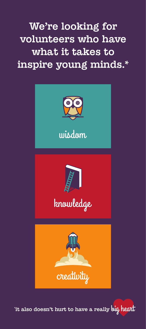We're looking for volunteers who have what it takes to inspire young minds.\*







'it also doesn't hurt to have a really bi<mark>g heat</mark>l